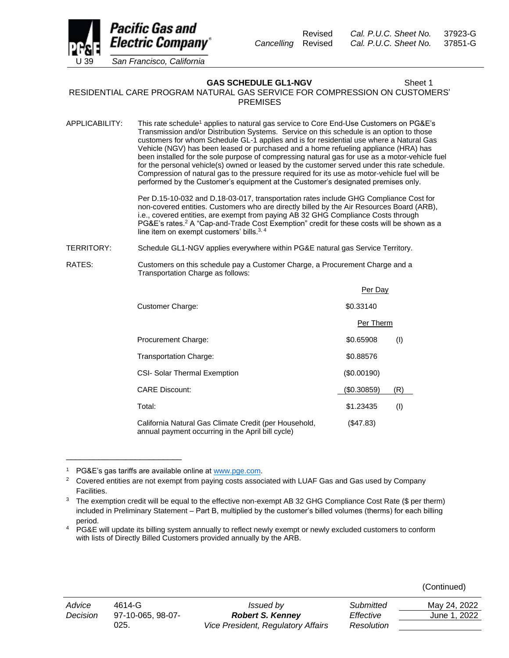

**GAS SCHEDULE GL1-NGV** Sheet 1

RESIDENTIAL CARE PROGRAM NATURAL GAS SERVICE FOR COMPRESSION ON CUSTOMERS' PREMISES

APPLICABILITY: This rate schedule<sup>1</sup> applies to natural gas service to Core End-Use Customers on PG&E's Transmission and/or Distribution Systems. Service on this schedule is an option to those customers for whom Schedule GL-1 applies and is for residential use where a Natural Gas Vehicle (NGV) has been leased or purchased and a home refueling appliance (HRA) has been installed for the sole purpose of compressing natural gas for use as a motor-vehicle fuel for the personal vehicle(s) owned or leased by the customer served under this rate schedule. Compression of natural gas to the pressure required for its use as motor-vehicle fuel will be performed by the Customer's equipment at the Customer's designated premises only.

> Per D.15-10-032 and D.18-03-017, transportation rates include GHG Compliance Cost for non-covered entities. Customers who are directly billed by the Air Resources Board (ARB), i.e., covered entities, are exempt from paying AB 32 GHG Compliance Costs through PG&E's rates.<sup>2</sup> A "Cap-and-Trade Cost Exemption" credit for these costs will be shown as a line item on exempt customers' bills.3, 4

TERRITORY: Schedule GL1-NGV applies everywhere within PG&E natural gas Service Territory.

RATES: Customers on this schedule pay a Customer Charge, a Procurement Charge and a Transportation Charge as follows: Per Day

|                                                                                                            | Per Day     |     |
|------------------------------------------------------------------------------------------------------------|-------------|-----|
| Customer Charge:                                                                                           | \$0.33140   |     |
|                                                                                                            | Per Therm   |     |
| Procurement Charge:                                                                                        | \$0.65908   | (1) |
| Transportation Charge:                                                                                     | \$0.88576   |     |
| <b>CSI- Solar Thermal Exemption</b>                                                                        | (S0.00190)  |     |
| <b>CARE Discount:</b>                                                                                      | (\$0.30859) | (R) |
| Total:                                                                                                     | \$1.23435   | (1) |
| California Natural Gas Climate Credit (per Household,<br>annual payment occurring in the April bill cycle) | (\$47.83)   |     |

<sup>&</sup>lt;sup>1</sup> PG&E's gas tariffs are available online at [www.pge.com.](http://www.pge.com/)

\_\_\_\_\_\_\_\_\_\_\_\_\_\_\_\_\_\_\_\_\_\_\_\_\_

| (Continued) |  |
|-------------|--|
|-------------|--|

| Advice   | $4614 - G$        | Issued by                          | Submitted  | May 24, 2022 |
|----------|-------------------|------------------------------------|------------|--------------|
| Decision | 97-10-065. 98-07- | <b>Robert S. Kenney</b>            | Effective  | June 1, 2022 |
|          | 025.              | Vice President, Regulatory Affairs | Resolution |              |

<sup>&</sup>lt;sup>2</sup> Covered entities are not exempt from paying costs associated with LUAF Gas and Gas used by Company Facilities.

<sup>&</sup>lt;sup>3</sup> The exemption credit will be equal to the effective non-exempt AB 32 GHG Compliance Cost Rate (\$ per therm) included in Preliminary Statement – Part B, multiplied by the customer's billed volumes (therms) for each billing period.

<sup>4</sup> PG&E will update its billing system annually to reflect newly exempt or newly excluded customers to conform with lists of Directly Billed Customers provided annually by the ARB.